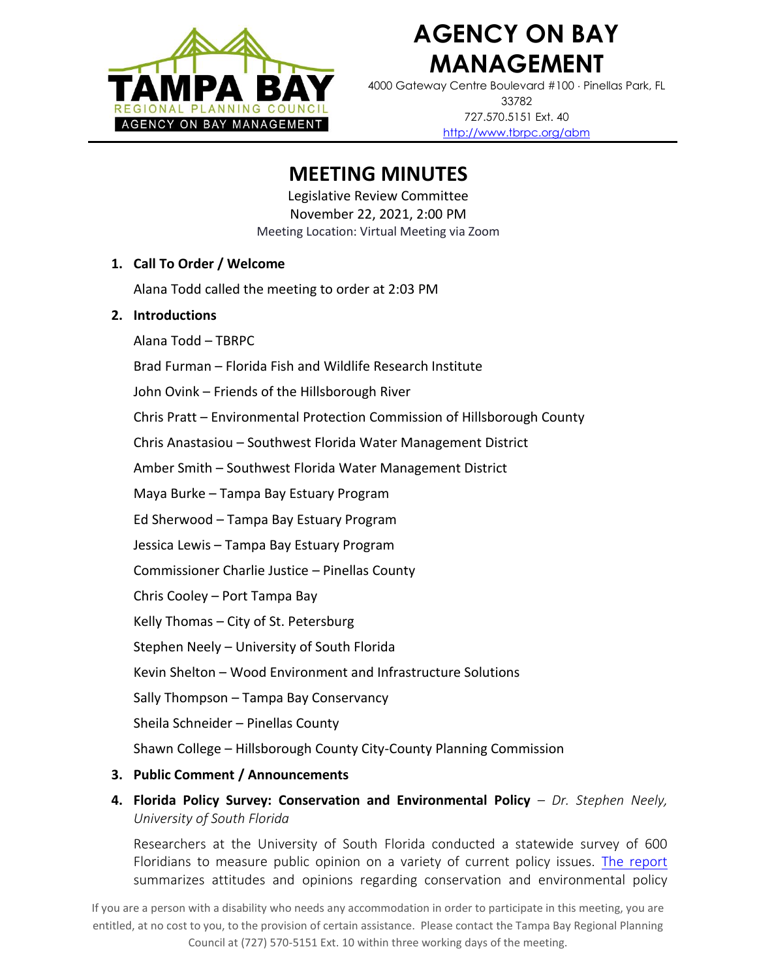

# **AGENCY ON BAY MANAGEMENT**

4000 Gateway Centre Boulevard #100 Pinellas Park, FL 33782 727.570.5151 Ext. 40 <http://www.tbrpc.org/abm>

### **MEETING MINUTES**

Legislative Review Committee November 22, 2021, 2:00 PM Meeting Location: Virtual Meeting via Zoom

#### **1. Call To Order / Welcome**

Alana Todd called the meeting to order at 2:03 PM

#### **2. Introductions**

Alana Todd – TBRPC

Brad Furman – Florida Fish and Wildlife Research Institute

John Ovink – Friends of the Hillsborough River

Chris Pratt – Environmental Protection Commission of Hillsborough County

Chris Anastasiou – Southwest Florida Water Management District

Amber Smith – Southwest Florida Water Management District

Maya Burke – Tampa Bay Estuary Program

Ed Sherwood – Tampa Bay Estuary Program

Jessica Lewis – Tampa Bay Estuary Program

Commissioner Charlie Justice – Pinellas County

Chris Cooley – Port Tampa Bay

Kelly Thomas – City of St. Petersburg

Stephen Neely – University of South Florida

Kevin Shelton – Wood Environment and Infrastructure Solutions

Sally Thompson – Tampa Bay Conservancy

Sheila Schneider – Pinellas County

Shawn College – Hillsborough County City-County Planning Commission

#### **3. Public Comment / Announcements**

**4. Florida Policy Survey: Conservation and Environmental Policy** – *Dr. Stephen Neely, University of South Florida* 

Researchers at the University of South Florida conducted a statewide survey of 600 Floridians to measure public opinion on a variety of current policy issues. [The report](https://www.usf.edu/arts-sciences/departments/public-affairs/documents/news-items/spa-policy-conservation-survey-results-2021.pdf) summarizes attitudes and opinions regarding conservation and environmental policy

If you are a person with a disability who needs any accommodation in order to participate in this meeting, you are entitled, at no cost to you, to the provision of certain assistance. Please contact the Tampa Bay Regional Planning Council at (727) 570-5151 Ext. 10 within three working days of the meeting.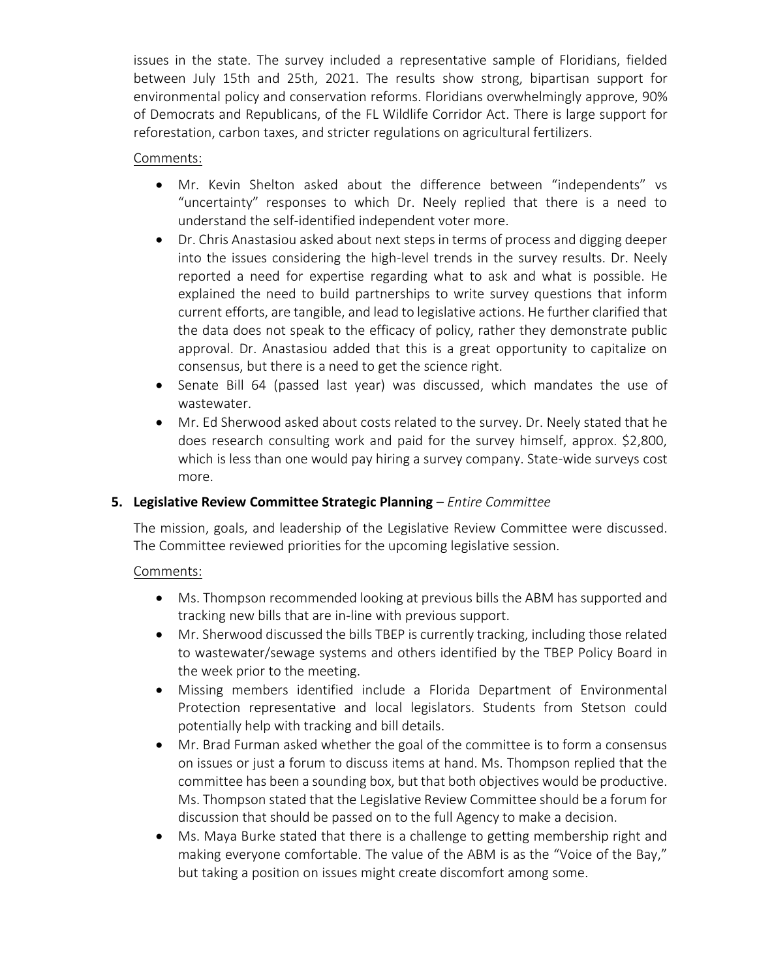issues in the state. The survey included a representative sample of Floridians, fielded between July 15th and 25th, 2021. The results show strong, bipartisan support for environmental policy and conservation reforms. Floridians overwhelmingly approve, 90% of Democrats and Republicans, of the FL Wildlife Corridor Act. There is large support for reforestation, carbon taxes, and stricter regulations on agricultural fertilizers.

#### Comments:

- Mr. Kevin Shelton asked about the difference between "independents" vs "uncertainty" responses to which Dr. Neely replied that there is a need to understand the self-identified independent voter more.
- Dr. Chris Anastasiou asked about next steps in terms of process and digging deeper into the issues considering the high-level trends in the survey results. Dr. Neely reported a need for expertise regarding what to ask and what is possible. He explained the need to build partnerships to write survey questions that inform current efforts, are tangible, and lead to legislative actions. He further clarified that the data does not speak to the efficacy of policy, rather they demonstrate public approval. Dr. Anastasiou added that this is a great opportunity to capitalize on consensus, but there is a need to get the science right.
- Senate Bill 64 (passed last year) was discussed, which mandates the use of wastewater.
- Mr. Ed Sherwood asked about costs related to the survey. Dr. Neely stated that he does research consulting work and paid for the survey himself, approx. \$2,800, which is less than one would pay hiring a survey company. State-wide surveys cost more.

#### **5. Legislative Review Committee Strategic Planning** – *Entire Committee*

The mission, goals, and leadership of the Legislative Review Committee were discussed. The Committee reviewed priorities for the upcoming legislative session.

#### Comments:

- Ms. Thompson recommended looking at previous bills the ABM has supported and tracking new bills that are in-line with previous support.
- Mr. Sherwood discussed the bills TBEP is currently tracking, including those related to wastewater/sewage systems and others identified by the TBEP Policy Board in the week prior to the meeting.
- Missing members identified include a Florida Department of Environmental Protection representative and local legislators. Students from Stetson could potentially help with tracking and bill details.
- Mr. Brad Furman asked whether the goal of the committee is to form a consensus on issues or just a forum to discuss items at hand. Ms. Thompson replied that the committee has been a sounding box, but that both objectives would be productive. Ms. Thompson stated that the Legislative Review Committee should be a forum for discussion that should be passed on to the full Agency to make a decision.
- Ms. Maya Burke stated that there is a challenge to getting membership right and making everyone comfortable. The value of the ABM is as the "Voice of the Bay," but taking a position on issues might create discomfort among some.